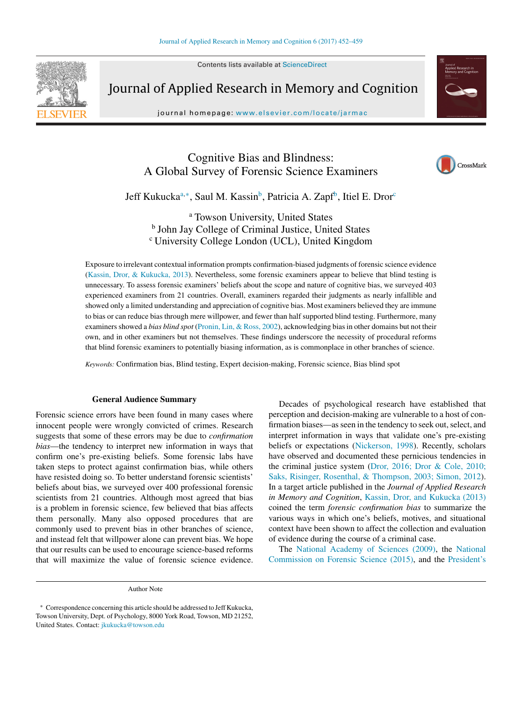Contents lists available at [ScienceDirect](http://www.sciencedirect.com/science/journal/22113681)



Journal of Applied Research in Memory and Cognition



journal homepage: [www.elsevier.com/locate/jarmac](http://www.elsevier.com/locate/jarmac)

# Cognitive Bias and Blindness: A Global Survey of Forensic Science Examiners



Jeff Kukucka<sup>a,∗</sup>, Saul M. Kassin<sup>b</sup>, Patricia A. Zapf<sup>b</sup>, Itiel E. Dror<sup>c</sup>

<sup>a</sup> Towson University, United States <sup>b</sup> John Jay College of Criminal Justice, United States <sup>c</sup> University College London (UCL), United Kingdom

Exposure to irrelevant contextual information prompts confirmation-biased judgments of forensic science evidence (Kassin, Dror, & [Kukucka,](#page-6-0) 2013). Nevertheless, some forensic examiners appear to believe that blind testing is unnecessary. To assess forensic examiners' beliefs about the scope and nature of cognitive bias, we surveyed 403 experienced examiners from 21 countries. Overall, examiners regarded their judgments as nearly infallible and showed only a limited understanding and appreciation of cognitive bias. Most examiners believed they are immune to bias or can reduce bias through mere willpower, and fewer than half supported blind testing. Furthermore, many examiners showed a *bias blind spot* ([Pronin,](#page-7-0) Lin, & Ross, 2002), acknowledging bias in other domains but not their own, and in other examiners but not themselves. These findings underscore the necessity of procedural reforms that blind forensic examiners to potentially biasing information, as is commonplace in other branches of science.

*Keywords:* Confirmation bias, Blind testing, Expert decision-making, Forensic science, Bias blind spot

## **General Audience Summary**

Forensic science errors have been found in many cases where innocent people were wrongly convicted of crimes. Research suggests that some of these errors may be due to *confirmation bias*—the tendency to interpret new information in ways that confirm one's pre-existing beliefs. Some forensic labs have taken steps to protect against confirmation bias, while others have resisted doing so. To better understand forensic scientists' beliefs about bias, we surveyed over 400 professional forensic scientists from 21 countries. Although most agreed that bias is a problem in forensic science, few believed that bias affects them personally. Many also opposed procedures that are commonly used to prevent bias in other branches of science, and instead felt that willpower alone can prevent bias. We hope that our results can be used to encourage science-based reforms that will maximize the value of forensic science evidence.

Decades of psychological research have established that perception and decision-making are vulnerable to a host of confirmation biases—as seen in the tendency to seek out, select, and interpret information in ways that validate one's pre-existing beliefs or expectations ([Nickerson,](#page-7-0) 1998). Recently, scholars have observed and documented these pernicious tendencies in the criminal justice system (Dror, [2016;](#page-6-0) Dror & Cole, 2010; Saks, Risinger, Rosenthal, & Thompson, 2003; Simon, 2012). In a target article published in the *Journal of Applied Research in Memory and Cognition*, Kassin, Dror, and [Kukucka](#page-6-0) (2013) coined the term *forensic confirmation bias* to summarize the various ways in which one's beliefs, motives, and situational context have been shown to affect the collection and evaluation of evidence during the course of a criminal case.

The National [Academy](#page-7-0) of Sciences (2009), the [National](#page-7-0) Commission on Forensic Science (2015), and the [President's](#page-7-0)

Author Note

<sup>∗</sup> Correspondence concerning this article should be addressed to Jeff Kukucka, Towson University, Dept. of Psychology, 8000 York Road, Towson, MD 21252, United States. Contact: [jkukucka@towson.edu](mailto:jkukucka@towson.edu)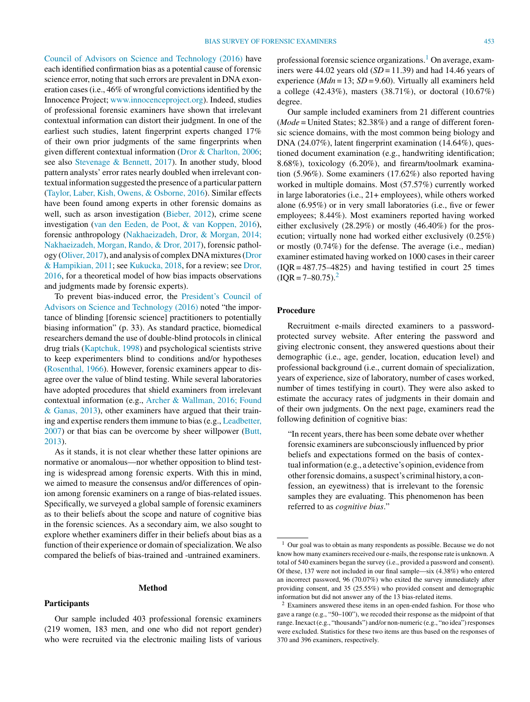Council of Advisors on Science and Technology (2016) have each identified confirmation bias as a potential cause of forensic science error, noting that such errors are prevalent in DNA exoneration cases (i.e., 46% of wrongful convictions identified by the Innocence Project; [www.innocenceproject.org](http://www.innocenceproject.org/)). Indeed, studies of professional forensic examiners have shown that irrelevant contextual information can distort their judgment. In one of the earliest such studies, latent fingerprint experts changed 17% of their own prior judgments of the same fingerprints when given different contextual information (Dror & [Charlton,](#page-6-0) 2006; see also [Stevenage](#page-7-0) & Bennett, 2017). In another study, blood pattern analysts' error rates nearly doubled when irrelevant contextual information suggested the presence of a particular pattern (Taylor, Laber, Kish, Owens, & [Osborne,](#page-7-0) 2016). Similar effects have been found among experts in other forensic domains as well, such as arson investigation [\(Bieber,](#page-6-0) 2012), crime scene investigation (van den Eeden, de Poot, & van [Koppen,](#page-7-0) 2016), forensic anthropology [\(Nakhaeizadeh,](#page-6-0) Dror, & Morgan, 2014; Nakhaeizadeh, Morgan, Rando, & Dror, 2017), forensic pathology [\(Oliver,](#page-7-0) 2017), and analysis of complexDNAmixtures(Dror & Hampikian, 2011; see [Kukucka,](#page-6-0) 2018, for a review; see [Dror,](#page-6-0) 2016, for a theoretical model of how bias impacts observations and judgments made by forensic experts).

To prevent bias-induced error, the [President's](#page-7-0) Council of Advisors on Science and Technology (2016) noted "the importance of blinding [forensic science] practitioners to potentially biasing information" (p. 33). As standard practice, biomedical researchers demand the use of double-blind protocols in clinical drug trials [\(Kaptchuk,](#page-6-0) 1998) and psychological scientists strive to keep experimenters blind to conditions and/or hypotheses [\(Rosenthal,](#page-7-0) 1966). However, forensic examiners appear to disagree over the value of blind testing. While several laboratories have adopted procedures that shield examiners from irrelevant contextual information (e.g., Archer & [Wallman,](#page-6-0) 2016; Found & Ganas, 2013), other examiners have argued that their training and expertise renders them immune to bias (e.g., [Leadbetter,](#page-6-0) 2007) or that bias can be overcome by sheer willpower [\(Butt,](#page-6-0) 2013).

As it stands, it is not clear whether these latter opinions are normative or anomalous—nor whether opposition to blind testing is widespread among forensic experts. With this in mind, we aimed to measure the consensus and/or differences of opinion among forensic examiners on a range of bias-related issues. Specifically, we surveyed a global sample of forensic examiners as to their beliefs about the scope and nature of cognitive bias in the forensic sciences. As a secondary aim, we also sought to explore whether examiners differ in their beliefs about bias as a function of their experience or domain of specialization. We also compared the beliefs of bias-trained and -untrained examiners.

#### **Method**

#### **Participants**

professional forensic science organizations.<sup>1</sup> On average, examiners were  $44.02$  years old  $(SD = 11.39)$  and had 14.46 years of experience (*Mdn* = 13; *SD* = 9.60). Virtually all examiners held a college (42.43%), masters (38.71%), or doctoral (10.67%) degree.

Our sample included examiners from 21 different countries (*Mode* = United States; 82.38%) and a range of different forensic science domains, with the most common being biology and DNA (24.07%), latent fingerprint examination (14.64%), questioned document examination (e.g., handwriting identification; 8.68%), toxicology (6.20%), and firearm/toolmark examination (5.96%). Some examiners (17.62%) also reported having worked in multiple domains. Most (57.57%) currently worked in large laboratories (i.e., 21+ employees), while others worked alone (6.95%) or in very small laboratories (i.e., five or fewer employees; 8.44%). Most examiners reported having worked either exclusively (28.29%) or mostly (46.40%) for the prosecution; virtually none had worked either exclusively (0.25%) or mostly (0.74%) for the defense. The average (i.e., median) [examiner](#page-6-0) estimated having worked on 1000 cases in their career  $( IQR = 487.75 - 4825 )$  and having testified in court 25 times  $(IQR = 7–80.75).<sup>2</sup>$ 

# **Procedure**

Recruitment e-mails directed examiners to a passwordprotected survey website. After entering the password and giving electronic consent, they answered questions about their demographic (i.e., age, gender, location, education level) and professional background (i.e., current domain of specialization, years of experience, size of laboratory, number of cases worked, number of times testifying in court). They were also asked to estimate the accuracy rates of judgments in their domain and of their own judgments. On the next page, examiners read the following definition of cognitive bias:

"In recent years, there has been some debate over whether forensic examiners are subconsciously influenced by prior beliefs and expectations formed on the basis of contextual information (e.g., a detective's opinion, evidence from other forensic domains, a suspect's criminal history, a confession, an eyewitness) that is irrelevant to the forensic samples they are evaluating. This phenomenon has been referred to as *cognitive bias*."

Our sample included 403 professional forensic examiners (219 women, 183 men, and one who did not report gender) who were recruited via the electronic mailing lists of various

 $1$  Our goal was to obtain as many respondents as possible. Because we do not know how many examiners received our e-mails, the response rate is unknown. A total of 540 examiners began the survey (i.e., provided a password and consent). Of these, 137 were not included in our final sample—six (4.38%) who entered an incorrect password, 96 (70.07%) who exited the survey immediately after providing consent, and 35 (25.55%) who provided consent and demographic information but did not answer any of the 13 bias-related items.

<sup>2</sup> Examiners answered these items in an open-ended fashion. For those who gave a range (e.g., "50–100"), we recoded their response as the midpoint of that range. Inexact (e.g., "thousands") and/or non-numeric (e.g., "no idea") responses were excluded. Statistics for these two items are thus based on the responses of 370 and 396 examiners, respectively.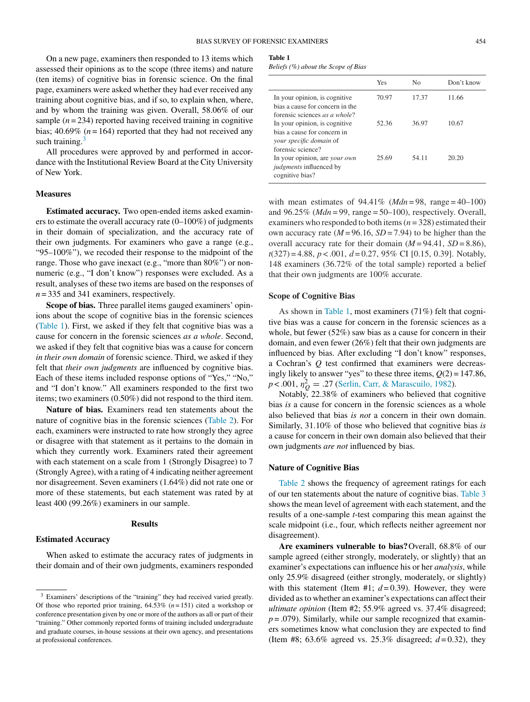On a new page, examiners then responded to 13 items which assessed their opinions as to the scope (three items) and nature (ten items) of cognitive bias in forensic science. On the final page, examiners were asked whether they had ever received any training about cognitive bias, and if so, to explain when, where, and by whom the training was given. Overall, 58.06% of our sample  $(n = 234)$  reported having received training in cognitive bias;  $40.69\%$  ( $n = 164$ ) reported that they had not received any such training. $3$ 

All procedures were approved by and performed in accordance with the Institutional Review Board at the City University of New York.

#### **Measures**

**Estimated accuracy.** Two open-ended items asked examiners to estimate the overall accuracy rate (0–100%) of judgments in their domain of specialization, and the accuracy rate of their own judgments. For examiners who gave a range (e.g., "95–100%"), we recoded their response to the midpoint of the range. Those who gave inexact (e.g., "more than 80%") or nonnumeric (e.g., "I don't know") responses were excluded. As a result, analyses of these two items are based on the responses of *n* = 335 and 341 examiners, respectively.

**Scope of bias.** Three parallel items gauged examiners' opinions about the scope of cognitive bias in the forensic sciences (Table 1). First, we asked if they felt that cognitive bias was a cause for concern in the forensic sciences *as a whole*. Second, we asked if they felt that cognitive bias was a cause for concern *in their own domain* of forensic science. Third, we asked if they felt that *their own judgments* are influenced by cognitive bias. Each of these items included response options of "Yes," "No," and "I don't know." All examiners responded to the first two items; two examiners (0.50%) did not respond to the third item.

**Nature of bias.** Examiners read ten statements about the nature of cognitive bias in the forensic sciences ([Table](#page-3-0) 2). For each, examiners were instructed to rate how strongly they agree or disagree with that statement as it pertains to the domain in which they currently work. Examiners rated their agreement with each statement on a scale from 1 (Strongly Disagree) to 7 (Strongly Agree), with a rating of 4 indicating neither agreement nor disagreement. Seven examiners (1.64%) did not rate one or more of these statements, but each statement was rated by at least 400 (99.26%) examiners in our sample.

# **Results**

#### **Estimated Accuracy**

When asked to estimate the accuracy rates of judgments in their domain and of their own judgments, examiners responded

## **Table 1**

*Beliefs (%) about the Scope of Bias*

|                                                                                                               | Yes   | Nο    | Don't know |
|---------------------------------------------------------------------------------------------------------------|-------|-------|------------|
| In your opinion, is cognitive.<br>hias a cause for concern in the<br>forensic sciences as a whole?            | 70.97 | 17.37 | 11.66      |
| In your opinion, is cognitive.<br>hias a cause for concern in<br>your specific domain of<br>forensic science? | 52.36 | 36.97 | 10.67      |
| In your opinion, are your own<br><i>judgments</i> influenced by<br>cognitive bias?                            | 25.69 | 54.11 | 20.20      |

with mean estimates of  $94.41\%$  (*Mdn* = 98, range = 40–100) and 96.25% (*Mdn* = 99, range = 50–100), respectively. Overall, examiners who responded to both items(*n* = 328) estimated their own accuracy rate  $(M = 96.16, SD = 7.94)$  to be higher than the overall accuracy rate for their domain  $(M = 94.41, SD = 8.86)$ , *t*(327) = 4.88, *p* < .001, *d* = 0.27, 95% CI [0.15, 0.39]. Notably, 148 examiners (36.72% of the total sample) reported a belief that their own judgments are 100% accurate.

#### **Scope of Cognitive Bias**

As shown in Table 1, most examiners (71%) felt that cognitive bias was a cause for concern in the forensic sciences as a whole, but fewer (52%) saw bias as a cause for concern in their domain, and even fewer (26%) felt that their own judgments are influenced by bias. After excluding "I don't know" responses, a Cochran's *Q* test confirmed that examiners were decreasingly likely to answer "yes" to these three items,  $Q(2) = 147.86$ ,  $p < .001$ ,  $\eta_Q^2 = .27$  (Serlin, Carr, & [Marascuilo,](#page-7-0) 1982).

Notably, 22.38% of examiners who believed that cognitive bias *is* a cause for concern in the forensic sciences as a whole also believed that bias *is not* a concern in their own domain. Similarly, 31.10% of those who believed that cognitive bias *is* a cause for concern in their own domain also believed that their own judgments *are not* influenced by bias.

## **Nature of Cognitive Bias**

[Table](#page-3-0) 2 shows the frequency of agreement ratings for each of our ten statements about the nature of cognitive bias. [Table](#page-3-0) 3 shows the mean level of agreement with each statement, and the results of a one-sample *t*-test comparing this mean against the scale midpoint (i.e., four, which reflects neither agreement nor disagreement).

**Are examiners vulnerable to bias?**Overall, 68.8% of our sample agreed (either strongly, moderately, or slightly) that an examiner's expectations can influence his or her *analysis*, while only 25.9% disagreed (either strongly, moderately, or slightly) with this statement (Item #1;  $d = 0.39$ ). However, they were divided asto whether an examiner's expectations can affect their *ultimate opinion* (Item #2; 55.9% agreed vs. 37.4% disagreed;  $p = .079$ ). Similarly, while our sample recognized that examiners sometimes know what conclusion they are expected to find (Item #8; 63.6% agreed vs. 25.3% disagreed; *d* = 0.32), they

<sup>&</sup>lt;sup>3</sup> Examiners' descriptions of the "training" they had received varied greatly. Of those who reported prior training,  $64.53\%$  ( $n = 151$ ) cited a workshop or conference presentation given by one or more of the authors as all or part of their "training." Other commonly reported forms of training included undergraduate and graduate courses, in-house sessions at their own agency, and presentations at professional conferences.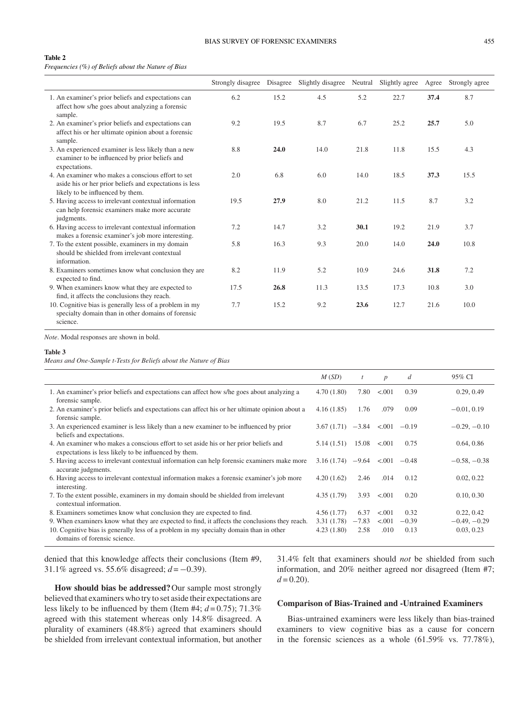## <span id="page-3-0"></span>**Table 2**

*Frequencies (%) of Beliefs about the Nature of Bias*

|                                                                                                                                                   | Strongly disagree | Disagree | Slightly disagree | Neutral | Slightly agree | Agree | Strongly agree |
|---------------------------------------------------------------------------------------------------------------------------------------------------|-------------------|----------|-------------------|---------|----------------|-------|----------------|
| 1. An examiner's prior beliefs and expectations can<br>affect how s/he goes about analyzing a forensic<br>sample.                                 | 6.2               | 15.2     | 4.5               | 5.2     | 22.7           | 37.4  | 8.7            |
| 2. An examiner's prior beliefs and expectations can<br>affect his or her ultimate opinion about a forensic<br>sample.                             | 9.2               | 19.5     | 8.7               | 6.7     | 25.2           | 25.7  | 5.0            |
| 3. An experienced examiner is less likely than a new<br>examiner to be influenced by prior beliefs and<br>expectations.                           | 8.8               | 24.0     | 14.0              | 21.8    | 11.8           | 15.5  | 4.3            |
| 4. An examiner who makes a conscious effort to set<br>aside his or her prior beliefs and expectations is less<br>likely to be influenced by them. | 2.0               | 6.8      | 6.0               | 14.0    | 18.5           | 37.3  | 15.5           |
| 5. Having access to irrelevant contextual information<br>can help forensic examiners make more accurate<br>judgments.                             | 19.5              | 27.9     | 8.0               | 21.2    | 11.5           | 8.7   | 3.2            |
| 6. Having access to irrelevant contextual information<br>makes a forensic examiner's job more interesting.                                        | 7.2               | 14.7     | 3.2               | 30.1    | 19.2           | 21.9  | 3.7            |
| 7. To the extent possible, examiners in my domain<br>should be shielded from irrelevant contextual<br>information.                                | 5.8               | 16.3     | 9.3               | 20.0    | 14.0           | 24.0  | 10.8           |
| 8. Examiners sometimes know what conclusion they are<br>expected to find.                                                                         | 8.2               | 11.9     | 5.2               | 10.9    | 24.6           | 31.8  | 7.2            |
| 9. When examiners know what they are expected to<br>find, it affects the conclusions they reach.                                                  | 17.5              | 26.8     | 11.3              | 13.5    | 17.3           | 10.8  | 3.0            |
| 10. Cognitive bias is generally less of a problem in my<br>specialty domain than in other domains of forensic<br>science.                         | 7.7               | 15.2     | 9.2               | 23.6    | 12.7           | 21.6  | 10.0           |

*Note*. Modal responses are shown in bold.

#### **Table 3**

*Means and One-Sample t-Tests for Beliefs about the Nature of Bias*

|                                                                                                                                                | M(SD)                              |         | $\boldsymbol{p}$ | d       | 95% CI         |
|------------------------------------------------------------------------------------------------------------------------------------------------|------------------------------------|---------|------------------|---------|----------------|
| 1. An examiner's prior beliefs and expectations can affect how s/he goes about analyzing a<br>forensic sample.                                 | 4.70(1.80)                         | 7.80    | < 0.001          | 0.39    | 0.29, 0.49     |
| 2. An examiner's prior beliefs and expectations can affect his or her ultimate opinion about a<br>forensic sample.                             | 4.16(1.85)                         | 1.76    | .079             | 0.09    | $-0.01, 0.19$  |
| 3. An experienced examiner is less likely than a new examiner to be influenced by prior<br>beliefs and expectations.                           | $3.67(1.71)$ $-3.84$ <.001         |         |                  | $-0.19$ | $-0.29, -0.10$ |
| 4. An examiner who makes a conscious effort to set aside his or her prior beliefs and<br>expectations is less likely to be influenced by them. | 5.14 (1.51)                        | 15.08   | < 0.001          | 0.75    | 0.64, 0.86     |
| 5. Having access to irrelevant contextual information can help forensic examiners make more<br>accurate judgments.                             | $3.16(1.74)$ $-9.64$ < 001 $-0.48$ |         |                  |         | $-0.58, -0.38$ |
| 6. Having access to irrelevant contextual information makes a forensic examiner's job more<br>interesting.                                     | 4.20(1.62)                         | 2.46    | .014             | 0.12    | 0.02, 0.22     |
| 7. To the extent possible, examiners in my domain should be shielded from irrelevant<br>contextual information.                                | 4.35(1.79)                         | 3.93    | < 0.001          | 0.20    | 0.10, 0.30     |
| 8. Examiners sometimes know what conclusion they are expected to find.                                                                         | 4.56(1.77)                         | 6.37    | < 0.001          | 0.32    | 0.22, 0.42     |
| 9. When examiners know what they are expected to find, it affects the conclusions they reach.                                                  | 3.31(1.78)                         | $-7.83$ | < 0.001          | $-0.39$ | $-0.49, -0.29$ |
| 10. Cognitive bias is generally less of a problem in my specialty domain than in other<br>domains of forensic science.                         | 4.23(1.80)                         | 2.58    | .010             | 0.13    | 0.03, 0.23     |

denied that this knowledge affects their conclusions (Item #9, 31.1% agreed vs. 55.6% disagreed; *d* = −0.39).

**How should bias be addressed?**Our sample most strongly believed that examinerswho try to set aside their expectations are less likely to be influenced by them (Item #4;  $d = 0.75$ ); 71.3% agreed with this statement whereas only 14.8% disagreed. A plurality of examiners (48.8%) agreed that examiners should be shielded from irrelevant contextual information, but another 31.4% felt that examiners should *not* be shielded from such information, and 20% neither agreed nor disagreed (Item #7;  $d = 0.20$ .

## **Comparison of Bias-Trained and -Untrained Examiners**

Bias-untrained examiners were less likely than bias-trained examiners to view cognitive bias as a cause for concern in the forensic sciences as a whole (61.59% vs. 77.78%),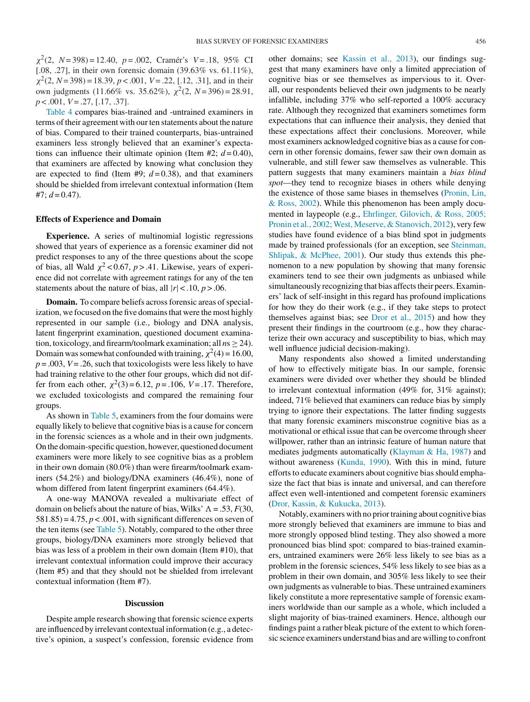χ2(2, *N*= 398) = 12.40, *p* = .002, Cramér's *V* = .18, 95% CI [.08, .27], in their own forensic domain (39.63% vs. 61.11%),  $\chi^2(2, N=398) = 18.39, p < .001, V = .22, [.12, .31],$  and in their own judgments (11.66% vs. 35.62%),  $\chi^2$ (2, *N* = 396) = 28.91, *p* < .001, *V* = .27, [.17, .37].

[Table](#page-5-0) 4 compares bias-trained and -untrained examiners in terms of their agreement with our ten statements about the nature of bias. Compared to their trained counterparts, bias-untrained examiners less strongly believed that an examiner's expectations can influence their ultimate opinion (Item  $\#2$ ;  $d = 0.40$ ), that examiners are affected by knowing what conclusion they are expected to find (Item  $#9$ ;  $d = 0.38$ ), and that examiners should be shielded from irrelevant contextual information (Item  $#7$ ;  $d = 0.47$ ).

#### **Effects of Experience and Domain**

**Experience.** A series of multinomial logistic regressions showed that years of experience as a forensic examiner did not predict responses to any of the three questions about the scope of bias, all Wald  $\chi^2$  < 0.67, *p* > .41. Likewise, years of experience did not correlate with agreement ratings for any of the ten statements about the nature of bias, all  $|r| < 0.10$ ,  $p > 0.06$ .

**Domain.** To compare beliefs across forensic areas of specialization, we focused on the five domains that were the most highly represented in our sample (i.e., biology and DNA analysis, latent fingerprint examination, questioned document examination, toxicology, and firearm/toolmark examination; all  $ns \geq 24$ ). Domain was somewhat confounded with training,  $\chi^2(4) = 16.00$ ,  $p = .003$ ,  $V = .26$ , such that toxicologists were less likely to have had training relative to the other four groups, which did not differ from each other,  $\chi^2(3)$  = 6.12, *p* = .106, *V* = .17. Therefore, we excluded toxicologists and compared the remaining four groups.

As shown in [Table](#page-5-0) 5, examiners from the four domains were equally likely to believe that cognitive biasis a cause for concern in the forensic sciences as a whole and in their own judgments. On the domain-specific question, however, questioned document examiners were more likely to see cognitive bias as a problem in their own domain (80.0%) than were firearm/toolmark examiners (54.2%) and biology/DNA examiners (46.4%), none of whom differed from latent fingerprint examiners (64.4%).

A one-way MANOVA revealed a multivariate effect of domain on beliefs about the nature of bias, Wilks'  $\Lambda = .53$ ,  $F(30)$ ,  $581.85$ ) = 4.75,  $p < .001$ , with significant differences on seven of the ten items (see [Table](#page-5-0) 5). Notably, compared to the other three groups, biology/DNA examiners more strongly believed that bias was less of a problem in their own domain (Item #10), that irrelevant contextual information could improve their accuracy (Item #5) and that they should not be shielded from irrelevant contextual information (Item #7).

## **Discussion**

Despite ample research showing that forensic science experts are influenced by irrelevant contextual information (e.g., a detective's opinion, a suspect's confession, forensic evidence from other domains; see [Kassin](#page-6-0) et al., 2013), our findings suggest that many examiners have only a limited appreciation of cognitive bias or see themselves as impervious to it. Overall, our respondents believed their own judgments to be nearly infallible, including 37% who self-reported a 100% accuracy rate. Although they recognized that examiners sometimes form expectations that can influence their analysis, they denied that these expectations affect their conclusions. Moreover, while most examiners acknowledged cognitive bias as a cause for concern in other forensic domains, fewer saw their own domain as vulnerable, and still fewer saw themselves as vulnerable. This pattern suggests that many examiners maintain a *bias blind spot*—they tend to recognize biases in others while denying the existence of those same biases in themselves ([Pronin,](#page-7-0) Lin, & Ross, 2002). While this phenomenon has been amply documented in laypeople (e.g., [Ehrlinger,](#page-6-0) Gilovich, & Ross, 2005; Pronin et al., 2002; West, Meserve, & Stanovich, 2012), very few studies have found evidence of a bias blind spot in judgments made by trained professionals (for an exception, see [Steinman,](#page-7-0) Shlipak, & McPhee, 2001). Our study thus extends this phenomenon to a new population by showing that many forensic examiners tend to see their own judgments as unbiased while simultaneously recognizing that bias affects their peers. Examiners' lack of self-insight in this regard has profound implications for how they do their work (e.g., if they take steps to protect themselves against bias; see Dror et al., [2015\)](#page-6-0) and how they present their findings in the courtroom (e.g., how they characterize their own accuracy and susceptibility to bias, which may well influence judicial decision-making).

Many respondents also showed a limited understanding of how to effectively mitigate bias. In our sample, forensic examiners were divided over whether they should be blinded to irrelevant contextual information (49% for, 31% against); indeed, 71% believed that examiners can reduce bias by simply trying to ignore their expectations. The latter finding suggests that many forensic examiners misconstrue cognitive bias as a motivational or ethical issue that can be overcome through sheer willpower, rather than an intrinsic feature of human nature that mediates judgments automatically [\(Klayman](#page-6-0) & Ha, 1987) and without awareness ([Kunda,](#page-6-0) 1990). With this in mind, future efforts to educate examiners about cognitive bias should emphasize the fact that bias is innate and universal, and can therefore affect even well-intentioned and competent forensic examiners (Dror, Kassin, & [Kukucka,](#page-6-0) 2013).

Notably, examiners with no prior training about cognitive bias more strongly believed that examiners are immune to bias and more strongly opposed blind testing. They also showed a more pronounced bias blind spot: compared to bias-trained examiners, untrained examiners were 26% less likely to see bias as a problem in the forensic sciences, 54% less likely to see bias as a problem in their own domain, and 305% less likely to see their own judgments as vulnerable to bias. These untrained examiners likely constitute a more representative sample of forensic examiners worldwide than our sample as a whole, which included a slight majority of bias-trained examiners. Hence, although our findings paint a rather bleak picture of the extent to which forensic science examiners understand bias and are willing to confront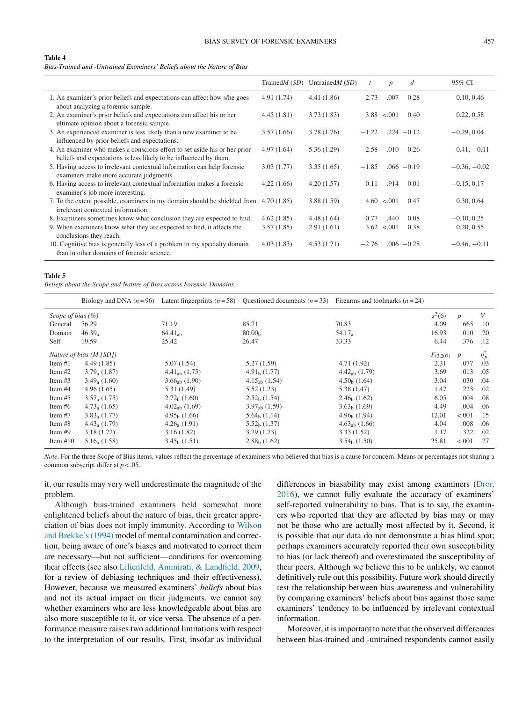## <span id="page-5-0"></span>**Table 4**

*Bias-Trained and -Untrained Examiners' Beliefs about the Nature of Bias*

|                                                                                                                                                | Trained $M(SD)$ | Untrained $M(SD)$ | t       | $\boldsymbol{p}$ | d             | 95% CI         |
|------------------------------------------------------------------------------------------------------------------------------------------------|-----------------|-------------------|---------|------------------|---------------|----------------|
| 1. An examiner's prior beliefs and expectations can affect how s/he goes<br>about analyzing a forensic sample.                                 | 4.91 (1.74)     | 4.41 (1.86)       | 2.73    | .007             | 0.28          | 0.10, 0.46     |
| 2. An examiner's prior beliefs and expectations can affect his or her<br>ultimate opinion about a forensic sample.                             | 4.45(1.81)      | 3.73(1.83)        |         | $3.88 \le 0.001$ | 0.40          | 0.22, 0.58     |
| 3. An experienced examiner is less likely than a new examiner to be<br>influenced by prior beliefs and expectations.                           | 3.57(1.66)      | 3.78(1.76)        | $-1.22$ |                  | $.224 - 0.12$ | $-0.29, 0.04$  |
| 4. An examiner who makes a conscious effort to set aside his or her prior<br>beliefs and expectations is less likely to be influenced by them. | 4.97(1.64)      | 5.36(1.29)        | $-2.58$ |                  | $.010 - 0.26$ | $-0.41, -0.11$ |
| 5. Having access to irrelevant contextual information can help forensic<br>examiners make more accurate judgments.                             | 3.03(1.77)      | 3.35(1.65)        | $-1.85$ |                  | $.066 - 0.19$ | $-0.36, -0.02$ |
| 6. Having access to irrelevant contextual information makes a forensic<br>examiner's job more interesting.                                     | 4.22(1.66)      | 4.20(1.57)        | 0.11    | .914             | 0.01          | $-0.15, 0.17$  |
| 7. To the extent possible, examiners in my domain should be shielded from 4.70 (1.85)<br>irrelevant contextual information.                    |                 | 3.88(1.59)        |         | $4.60 \le 0.001$ | 0.47          | 0.30, 0.64     |
| 8. Examiners sometimes know what conclusion they are expected to find.                                                                         | 4.62(1.85)      | 4.48(1.64)        | 0.77    | .440             | 0.08          | $-0.10, 0.25$  |
| 9. When examiners know what they are expected to find, it affects the<br>conclusions they reach.                                               | 3.57(1.85)      | 2.91(1.61)        | 3.62    | < .001           | 0.38          | 0.20, 0.55     |
| 10. Cognitive bias is generally less of a problem in my specialty domain<br>than in other domains of forensic science.                         | 4.03(1.83)      | 4.53(1.71)        | $-2.76$ |                  | $.006 - 0.28$ | $-0.46, -0.11$ |

#### **Table 5**

*Beliefs about the Scope and Nature of Bias across Forensic Domains*

|                       |                           |                    |                    | Biology and DNA $(n=96)$ Latent fingerprints $(n=58)$ Questioned documents $(n=33)$ Firearms and toolmarks $(n=24)$ |               |                  |                |
|-----------------------|---------------------------|--------------------|--------------------|---------------------------------------------------------------------------------------------------------------------|---------------|------------------|----------------|
| Scope of bias $(\% )$ |                           |                    |                    |                                                                                                                     | $x^2(6)$      | $\boldsymbol{D}$ | V              |
| General               | 76.29                     | 71.19              | 85.71              | 70.83                                                                                                               | 4.09          | .665             | .10            |
| Domain                | $46.39_a$                 | $64.41_{ab}$       | 80.00 <sub>h</sub> | $54.17_a$                                                                                                           | 16.93         | .010             | .20            |
| Self                  | 19.59                     | 25.42              | 26.47              | 33.33                                                                                                               | 6.44          | .376             | .12            |
|                       | Nature of bias $(M   SD)$ |                    |                    |                                                                                                                     | $F_{(3,207)}$ | $\boldsymbol{p}$ | $\eta_{p}^{2}$ |
| Item $#1$             | 4.49(1.85)                | 5.07(1.54)         | 5.27(1.59)         | 4.71 (1.92)                                                                                                         | 2.31          | .077             | .03            |
| Item $#2$             | $3.79_{a}$ (1.87)         | $4.41_{ab}$ (1.75) | $4.91h$ (1.77)     | $4.42_{ab}$ (1.79)                                                                                                  | 3.69          | .013             | .05            |
| Item $#3$             | $3.49_{a} (1.60)$         | $3.66_{ab}$ (1.90) | $4.15_{ab}$ (1.54) | $4.50h$ (1.64)                                                                                                      | 3.04          | .030             | .04            |
| Item $#4$             | 4.96(1.65)                | 5.31 (1.49)        | 5.52(1.23)         | 5.38 (1.47)                                                                                                         | 1.47          | .223             | .02            |
| Item $#5$             | $3.57_{a}$ (1.75)         | $2.72h$ (1.60)     | $2.52b$ (1.54)     | $2.46b$ (1.62)                                                                                                      | 6.05          | .004             | .08            |
| Item $#6$             | $4.73_{\text{a}}(1.65)$   | $4.02_{ab}$ (1.69) | $3.97_{ab}$ (1.59) | $3.63h$ (1.69)                                                                                                      | 4.49          | .004             | .06            |
| Item $#7$             | $3.83_{\text{a}} (1.77)$  | $4.95h$ (1.66)     | $5.64h$ (1.14)     | $4.96h$ (1.94)                                                                                                      | 12.01         | < .001           | .15            |
| Item $#8$             | $4.43_{a} (1.79)$         | $4.26_{a}$ (1.91)  | $5.52h$ (1.37)     | $4.63_{ab}$ (1.66)                                                                                                  | 4.04          | .008             | .06            |
| Item $#9$             | 3.18(1.72)                | 3.16(1.82)         | 3.79(1.73)         | 3.33(1.52)                                                                                                          | 1.17          | .322             | .02            |
| Item $#10$            | $5.16_{a}$ (1.58)         | $3.45b$ (1.51)     | $2.88b$ (1.62)     | $3.54b$ (1.50)                                                                                                      | 25.81         | < .001           | .27            |

*Note*. For the three Scope of Bias items, values reflect the percentage of examiners who believed that bias is a cause for concern. Means or percentages not sharing a common subscript differ at *p* < .05.

it, our results may very well underestimate the magnitude of the problem.

Although bias-trained examiners held somewhat more enlightened beliefs about the nature of bias, their greater appreciation of bias does not imply immunity. According to [Wilson](#page-7-0) and Brekke's (1994) model of mental contamination and correction, being aware of one's biases and motivated to correct them are necessary—but not sufficient—conditions for overcoming their effects (see also [Lilienfeld,](#page-6-0) Ammirati, & Landfield, 2009, for a review of debiasing techniques and their effectiveness). However, because we measured examiners' *beliefs* about bias and not its actual impact on their judgments, we cannot say whether examiners who are less knowledgeable about bias are also more susceptible to it, or vice versa. The absence of a performance measure raises two additional limitations with respect to the interpretation of our results. First, insofar as individual differences in biasability may exist among examiners ([Dror,](#page-6-0) 2016), we cannot fully evaluate the accuracy of examiners' self-reported vulnerability to bias. That is to say, the examiners who reported that they are affected by bias may or may not be those who are actually most affected by it. Second, it is possible that our data do not demonstrate a bias blind spot; perhaps examiners accurately reported their own susceptibility to bias (or lack thereof) and overestimated the susceptibility of their peers. Although we believe this to be unlikely, we cannot definitively rule out this possibility. Future work should directly test the relationship between bias awareness and vulnerability by comparing examiners' beliefs about bias against those same examiners' tendency to be influenced by irrelevant contextual information.

Moreover, it isimportant to note that the observed differences between bias-trained and -untrained respondents cannot easily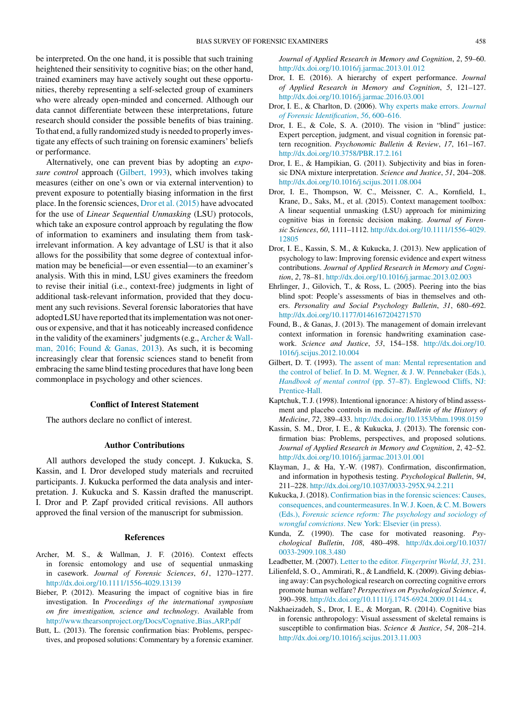<span id="page-6-0"></span>be interpreted. On the one hand, it is possible that such training heightened their sensitivity to cognitive bias; on the other hand, trained examiners may have actively sought out these opportunities, thereby representing a self-selected group of examiners who were already open-minded and concerned. Although our data cannot differentiate between these interpretations, future research should consider the possible benefits of bias training. To that end, a fully randomized study is needed to properly investigate any effects of such training on forensic examiners' beliefs or performance.

Alternatively, one can prevent bias by adopting an *exposure control* approach (Gilbert, 1993), which involves taking measures (either on one's own or via external intervention) to prevent exposure to potentially biasing information in the first place. In the forensic sciences, Dror et al. (2015) have advocated for the use of *Linear Sequential Unmasking* (LSU) protocols, which take an exposure control approach by regulating the flow of information to examiners and insulating them from taskirrelevant information. A key advantage of LSU is that it also allows for the possibility that some degree of contextual information may be beneficial—or even essential—to an examiner's analysis. With this in mind, LSU gives examiners the freedom to revise their initial (i.e., context-free) judgments in light of additional task-relevant information, provided that they document any such revisions. Several forensic laboratories that have adoptedLSU have reported that itsimplementation was not onerous or expensive, and that it has noticeably increased confidence in the validity of the examiners' judgments(e.g., Archer & Wallman, 2016; Found & Ganas, 2013). As such, it is becoming increasingly clear that forensic sciences stand to benefit from embracing the same blind testing procedures that have long been commonplace in psychology and other sciences.

## **Conflict of Interest Statement**

The authors declare no conflict of interest.

## **Author Contributions**

All authors developed the study concept. J. Kukucka, S. Kassin, and I. Dror developed study materials and recruited participants. J. Kukucka performed the data analysis and interpretation. J. Kukucka and S. Kassin drafted the manuscript. I. Dror and P. Zapf provided critical revisions. All authors approved the final version of the manuscript for submission.

#### **References**

- Archer, M. S., & Wallman, J. F. (2016). Context effects in forensic entomology and use of sequential unmasking in casework. *Journal of Forensic Sciences*, *61*, 1270–1277. [http://dx.doi.org/10.1111/1556-4029.13139](dx.doi.org/10.1111/1556-4029.13139)
- Bieber, P. (2012). Measuring the impact of cognitive bias in fire investigation. In *Proceedings of the international symposium on fire investigation, science and technology*. Available from [http://www.thearsonproject.org/Docs/Cognative](http://www.thearsonproject.org/Docs/Cognative_Bias_ARP.pdf) Bias ARP.pdf
- Butt, L. (2013). The forensic confirmation bias: Problems, perspectives, and proposed solutions: Commentary by a forensic examiner.

*Journal of Applied Research in Memory and Cognition*, *2*, 59–60. [http://dx.doi.org/10.1016/j.jarmac.2013.01.012](dx.doi.org/10.1016/j.jarmac.2013.01.012)

- Dror, I. E. (2016). A hierarchy of expert performance. *Journal of Applied Research in Memory and Cognition*, *5*, 121–127. [http://dx.doi.org/10.1016/j.jarmac.2016.03.001](dx.doi.org/10.1016/j.jarmac.2016.03.001)
- Dror, I. E., & Charlton, D. (2006). [Why](http://refhub.elsevier.com/S2211-3681(17)30032-3/sbref0025) [experts](http://refhub.elsevier.com/S2211-3681(17)30032-3/sbref0025) [make](http://refhub.elsevier.com/S2211-3681(17)30032-3/sbref0025) [errors.](http://refhub.elsevier.com/S2211-3681(17)30032-3/sbref0025) *[Journal](http://refhub.elsevier.com/S2211-3681(17)30032-3/sbref0025) [of](http://refhub.elsevier.com/S2211-3681(17)30032-3/sbref0025) [Forensic](http://refhub.elsevier.com/S2211-3681(17)30032-3/sbref0025) [Identification](http://refhub.elsevier.com/S2211-3681(17)30032-3/sbref0025)*[,](http://refhub.elsevier.com/S2211-3681(17)30032-3/sbref0025) *[56](http://refhub.elsevier.com/S2211-3681(17)30032-3/sbref0025)*[,](http://refhub.elsevier.com/S2211-3681(17)30032-3/sbref0025) [600–616.](http://refhub.elsevier.com/S2211-3681(17)30032-3/sbref0025)
- Dror, I. E., & Cole, S. A. (2010). The vision in "blind" justice: Expert perception, judgment, and visual cognition in forensic pattern recognition. *Psychonomic Bulletin & Review*, *17*, 161–167. [http://dx.doi.org/10.3758/PBR.17.2.161](dx.doi.org/10.3758/PBR.17.2.161)
- Dror, I. E., & Hampikian, G. (2011). Subjectivity and bias in forensic DNA mixture interpretation. *Science and Justice*, *51*, 204–208. [http://dx.doi.org/10.1016/j.scijus.2011.08.004](dx.doi.org/10.1016/j.scijus.2011.08.004)
- Dror, I. E., Thompson, W. C., Meissner, C. A., Kornfield, I., Krane, D., Saks, M., et al. (2015). Context management toolbox: A linear sequential unmasking (LSU) approach for minimizing cognitive bias in forensic decision making. *Journal of Forensic Sciences*, *60*, 1111–1112. [http://dx.doi.org/10.1111/1556-4029.](dx.doi.org/10.1111/1556-4029.12805) [12805](dx.doi.org/10.1111/1556-4029.12805)
- Dror, I. E., Kassin, S. M., & Kukucka, J. (2013). New application of psychology to law: Improving forensic evidence and expert witness contributions. *Journal of Applied Research in Memory and Cognition*, *2*, 78–81. [http://dx.doi.org/10.1016/j.jarmac.2013.02.003](dx.doi.org/10.1016/j.jarmac.2013.02.003)
- Ehrlinger, J., Gilovich, T., & Ross, L. (2005). Peering into the bias blind spot: People's assessments of bias in themselves and others. *Personality and Social Psychology Bulletin*, *31*, 680–692. [http://dx.doi.org/10.1177/0146167204271570](dx.doi.org/10.1177/0146167204271570)
- Found, B., & Ganas, J. (2013). The management of domain irrelevant context information in forensic handwriting examination casework. *Science and Justice*, *53*, 154–158. [http://dx.doi.org/10.](dx.doi.org/10.1016/j.scijus.2012.10.004) [1016/j.scijus.2012.10.004](dx.doi.org/10.1016/j.scijus.2012.10.004)
- Gilbert, D. T. (1993). [The](http://refhub.elsevier.com/S2211-3681(17)30032-3/sbref0065) [assent](http://refhub.elsevier.com/S2211-3681(17)30032-3/sbref0065) [of](http://refhub.elsevier.com/S2211-3681(17)30032-3/sbref0065) [man:](http://refhub.elsevier.com/S2211-3681(17)30032-3/sbref0065) [Mental](http://refhub.elsevier.com/S2211-3681(17)30032-3/sbref0065) [representation](http://refhub.elsevier.com/S2211-3681(17)30032-3/sbref0065) [and](http://refhub.elsevier.com/S2211-3681(17)30032-3/sbref0065) [the](http://refhub.elsevier.com/S2211-3681(17)30032-3/sbref0065) [control](http://refhub.elsevier.com/S2211-3681(17)30032-3/sbref0065) [of](http://refhub.elsevier.com/S2211-3681(17)30032-3/sbref0065) [belief.](http://refhub.elsevier.com/S2211-3681(17)30032-3/sbref0065) [In](http://refhub.elsevier.com/S2211-3681(17)30032-3/sbref0065) [D.](http://refhub.elsevier.com/S2211-3681(17)30032-3/sbref0065) [M.](http://refhub.elsevier.com/S2211-3681(17)30032-3/sbref0065) [Wegner,](http://refhub.elsevier.com/S2211-3681(17)30032-3/sbref0065) [&](http://refhub.elsevier.com/S2211-3681(17)30032-3/sbref0065) [J.](http://refhub.elsevier.com/S2211-3681(17)30032-3/sbref0065) [W.](http://refhub.elsevier.com/S2211-3681(17)30032-3/sbref0065) [Pennebaker](http://refhub.elsevier.com/S2211-3681(17)30032-3/sbref0065) [\(Eds.\),](http://refhub.elsevier.com/S2211-3681(17)30032-3/sbref0065) *[Handbook](http://refhub.elsevier.com/S2211-3681(17)30032-3/sbref0065) [of](http://refhub.elsevier.com/S2211-3681(17)30032-3/sbref0065) [mental](http://refhub.elsevier.com/S2211-3681(17)30032-3/sbref0065) [control](http://refhub.elsevier.com/S2211-3681(17)30032-3/sbref0065)* [\(pp.](http://refhub.elsevier.com/S2211-3681(17)30032-3/sbref0065) [57](http://refhub.elsevier.com/S2211-3681(17)30032-3/sbref0065)–[87\).](http://refhub.elsevier.com/S2211-3681(17)30032-3/sbref0065) [Englewood](http://refhub.elsevier.com/S2211-3681(17)30032-3/sbref0065) [Cliffs,](http://refhub.elsevier.com/S2211-3681(17)30032-3/sbref0065) [NJ:](http://refhub.elsevier.com/S2211-3681(17)30032-3/sbref0065) [Prentice-Hall.](http://refhub.elsevier.com/S2211-3681(17)30032-3/sbref0065)
- Kaptchuk, T.J. (1998). Intentional ignorance: A history of blind assessment and placebo controls in medicine. *Bulletin of the History of Medicine*, *72*, 389–433. [http://dx.doi.org/10.1353/bhm.1998.0159](dx.doi.org/10.1353/bhm.1998.0159)
- Kassin, S. M., Dror, I. E., & Kukucka, J. (2013). The forensic confirmation bias: Problems, perspectives, and proposed solutions. *Journal of Applied Research in Memory and Cognition*, *2*, 42–52. [http://dx.doi.org/10.1016/j.jarmac.2013.01.001](dx.doi.org/10.1016/j.jarmac.2013.01.001)
- Klayman, J., & Ha, Y.-W. (1987). Confirmation, disconfirmation, and information in hypothesis testing. *Psychological Bulletin*, *94*, 211–228. [http://dx.doi.org/10.1037/0033-295X.94.2.211](dx.doi.org/10.1037/0033-295X.94.2.211)
- Kukucka,J. (2018). [Confirmation](http://refhub.elsevier.com/S2211-3681(17)30032-3/sbref0085) [biasin](http://refhub.elsevier.com/S2211-3681(17)30032-3/sbref0085) [the](http://refhub.elsevier.com/S2211-3681(17)30032-3/sbref0085) [forensic](http://refhub.elsevier.com/S2211-3681(17)30032-3/sbref0085) [sciences:](http://refhub.elsevier.com/S2211-3681(17)30032-3/sbref0085) [Causes,](http://refhub.elsevier.com/S2211-3681(17)30032-3/sbref0085) [consequences,](http://refhub.elsevier.com/S2211-3681(17)30032-3/sbref0085) [and](http://refhub.elsevier.com/S2211-3681(17)30032-3/sbref0085) [countermeasures.](http://refhub.elsevier.com/S2211-3681(17)30032-3/sbref0085) [In](http://refhub.elsevier.com/S2211-3681(17)30032-3/sbref0085) [W.J.](http://refhub.elsevier.com/S2211-3681(17)30032-3/sbref0085) [Koen,](http://refhub.elsevier.com/S2211-3681(17)30032-3/sbref0085) [&](http://refhub.elsevier.com/S2211-3681(17)30032-3/sbref0085) [C.](http://refhub.elsevier.com/S2211-3681(17)30032-3/sbref0085) [M.](http://refhub.elsevier.com/S2211-3681(17)30032-3/sbref0085) [Bowers](http://refhub.elsevier.com/S2211-3681(17)30032-3/sbref0085) [\(Eds.\),](http://refhub.elsevier.com/S2211-3681(17)30032-3/sbref0085) *[Forensic](http://refhub.elsevier.com/S2211-3681(17)30032-3/sbref0085) [science](http://refhub.elsevier.com/S2211-3681(17)30032-3/sbref0085) [reform:](http://refhub.elsevier.com/S2211-3681(17)30032-3/sbref0085) [The](http://refhub.elsevier.com/S2211-3681(17)30032-3/sbref0085) [psychology](http://refhub.elsevier.com/S2211-3681(17)30032-3/sbref0085) [and](http://refhub.elsevier.com/S2211-3681(17)30032-3/sbref0085) [sociology](http://refhub.elsevier.com/S2211-3681(17)30032-3/sbref0085) [of](http://refhub.elsevier.com/S2211-3681(17)30032-3/sbref0085) [wrongful](http://refhub.elsevier.com/S2211-3681(17)30032-3/sbref0085) [convictions](http://refhub.elsevier.com/S2211-3681(17)30032-3/sbref0085)*[.](http://refhub.elsevier.com/S2211-3681(17)30032-3/sbref0085) [New](http://refhub.elsevier.com/S2211-3681(17)30032-3/sbref0085) [York:](http://refhub.elsevier.com/S2211-3681(17)30032-3/sbref0085) [Elsevier](http://refhub.elsevier.com/S2211-3681(17)30032-3/sbref0085) [\(in](http://refhub.elsevier.com/S2211-3681(17)30032-3/sbref0085) [press\).](http://refhub.elsevier.com/S2211-3681(17)30032-3/sbref0085)
- Kunda, Z. (1990). The case for motivated reasoning. *Psychological Bulletin*, *108*, 480–498. [http://dx.doi.org/10.1037/](dx.doi.org/10.1037/0033-2909.108.3.480) [0033-2909.108.3.480](dx.doi.org/10.1037/0033-2909.108.3.480)

Leadbetter, M. (2007). [Letter](http://refhub.elsevier.com/S2211-3681(17)30032-3/sbref0095) [to](http://refhub.elsevier.com/S2211-3681(17)30032-3/sbref0095) [the](http://refhub.elsevier.com/S2211-3681(17)30032-3/sbref0095) [editor.](http://refhub.elsevier.com/S2211-3681(17)30032-3/sbref0095) *[Fingerprint](http://refhub.elsevier.com/S2211-3681(17)30032-3/sbref0095) [World](http://refhub.elsevier.com/S2211-3681(17)30032-3/sbref0095)*[,](http://refhub.elsevier.com/S2211-3681(17)30032-3/sbref0095) *[33](http://refhub.elsevier.com/S2211-3681(17)30032-3/sbref0095)*[,](http://refhub.elsevier.com/S2211-3681(17)30032-3/sbref0095) [231.](http://refhub.elsevier.com/S2211-3681(17)30032-3/sbref0095)

- Lilienfeld, S. O., Ammirati, R., & Landfield, K. (2009). Giving debiasing away: Can psychological research on correcting cognitive errors promote human welfare? *Perspectives on Psychological Science*, *4*, 390–398. [http://dx.doi.org/10.1111/j.1745-6924.2009.01144.x](dx.doi.org/10.1111/j.1745-6924.2009.01144.x)
- Nakhaeizadeh, S., Dror, I. E., & Morgan, R. (2014). Cognitive bias in forensic anthropology: Visual assessment of skeletal remains is susceptible to confirmation bias. *Science & Justice*, *54*, 208–214. [http://dx.doi.org/10.1016/j.scijus.2013.11.003](dx.doi.org/10.1016/j.scijus.2013.11.003)